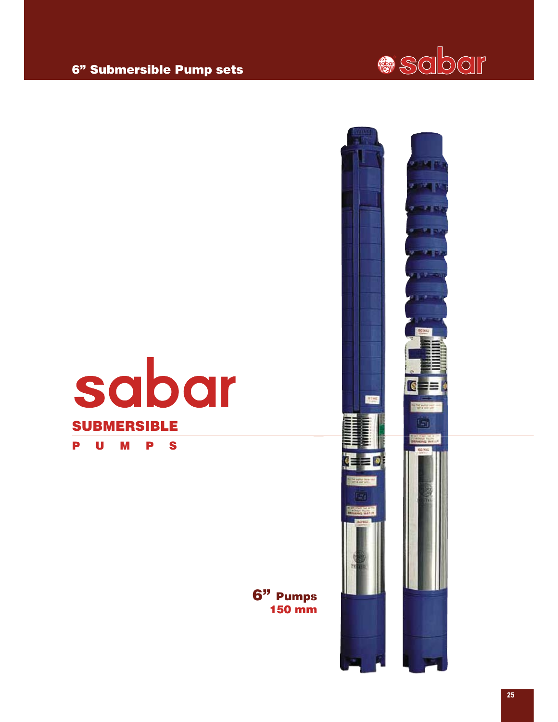### 6" Pumps 150 mm







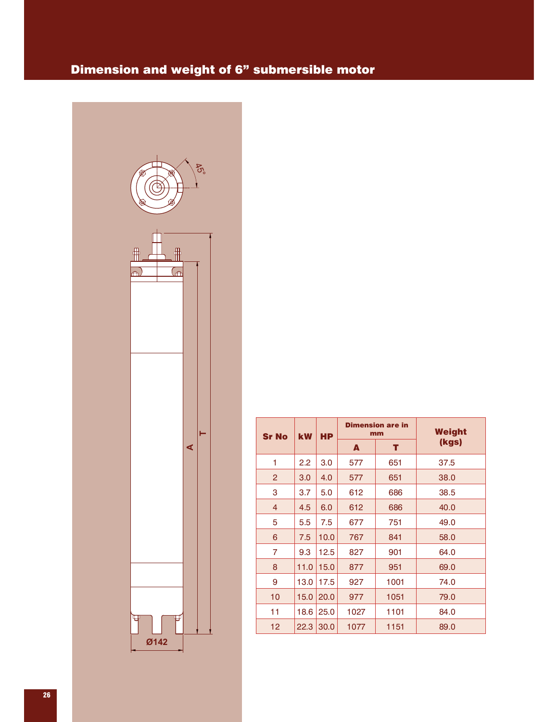### Dimension and weight of 6" submersible motor



| <b>Sr No</b>      | <b>kW</b> | <b>HP</b> |      | <b>Dimension are in</b><br>mm | Weight |
|-------------------|-----------|-----------|------|-------------------------------|--------|
|                   |           |           | A    | т                             | (kgs)  |
| 1                 | 2.2       | 3.0       | 577  | 651                           | 37.5   |
| $\overline{2}$    | 3.0       | 4.0       | 577  | 651                           | 38.0   |
| 3                 | 3.7       | 5.0       | 612  | 686                           | 38.5   |
| 4                 | 4.5       | 6.0       | 612  | 686                           | 40.0   |
| 5                 | 5.5       | 7.5       | 677  | 751                           | 49.0   |
| 6                 | 7.5       | 10.0      | 767  | 841                           | 58.0   |
| 7                 | 9.3       | 12.5      | 827  | 901                           | 64.0   |
| 8                 | 11.0      | 15.0      | 877  | 951                           | 69.0   |
| 9                 | 13.0      | 17.5      | 927  | 1001                          | 74.0   |
| 10                | 15.0      | 20.0      | 977  | 1051                          | 79.0   |
| 11                | 18.6      | 25.0      | 1027 | 1101                          | 84.0   |
| $12 \overline{ }$ | 22.3      | 30.0      | 1077 | 1151                          | 89.0   |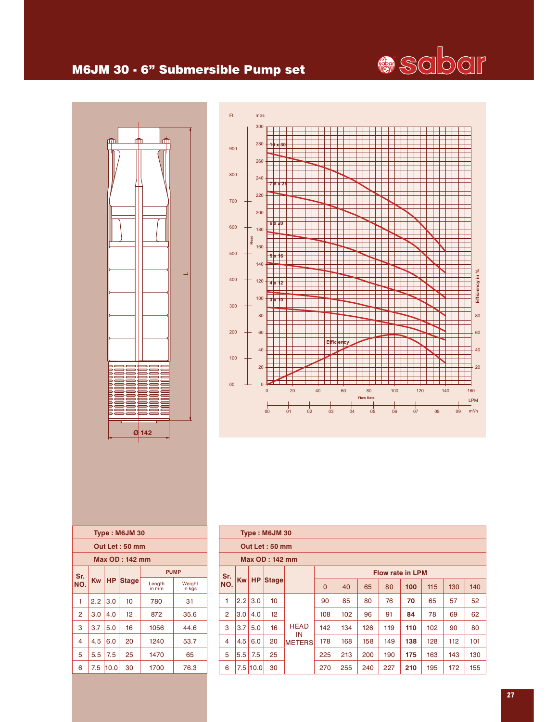# **Sciber**

#### M6JM 30 - 6" Submersible Pump set



<u>6 10.0 30 1700 76.0 30 1700 76.0 30 1700 76.</u>



|                | Type: M6JM 30<br>Out Let: 50 mm |              |             |                     |             |     |     |     |                         |     |     |     |
|----------------|---------------------------------|--------------|-------------|---------------------|-------------|-----|-----|-----|-------------------------|-----|-----|-----|
| Max OD: 142 mm |                                 |              |             |                     |             |     |     |     |                         |     |     |     |
| Sr.            |                                 |              |             |                     |             |     |     |     | <b>Flow rate in LPM</b> |     |     |     |
| NO.            |                                 |              | Kw HP Stage |                     | $\mathbf 0$ | 40  | 65  | 80  | 100                     | 115 | 130 | 140 |
| 1              | 2.2                             | 3.0          | 10          |                     | 90          | 85  | 80  | 76  | 70                      | 65  | 57  | 52  |
| $\overline{2}$ | 3.0 <sub>1</sub>                | 4.0          | 12          |                     | 108         | 102 | 96  | 91  | 84                      | 78  | 69  | 62  |
| 3              | 3.7                             | 5.0          | 16          | <b>HEAD</b>         | 142         | 134 | 126 | 119 | 110                     | 102 | 90  | 80  |
| 4              | 4.5                             | 6.0          | 20          | IN<br><b>METERS</b> | 178         | 168 | 158 | 149 | 138                     | 128 | 112 | 101 |
| 5              | 5.5                             | 7.5          | 25          |                     | 225         | 213 | 200 | 190 | 175                     | 163 | 143 | 130 |
| 6              |                                 | $7.5$   10.0 | 30          |                     | 270         | 255 | 240 | 227 | 210                     | 195 | 172 | 155 |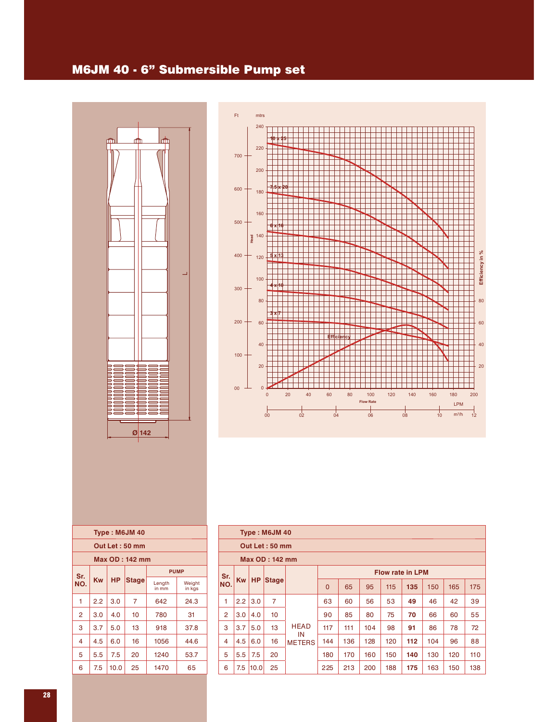#### M6JM 40 - 6" Submersible Pump set





|                | Type: M6JM 40 |      |              |                 |                  |  |  |  |  |  |  |
|----------------|---------------|------|--------------|-----------------|------------------|--|--|--|--|--|--|
| Out Let: 50 mm |               |      |              |                 |                  |  |  |  |  |  |  |
| Max OD: 142 mm |               |      |              |                 |                  |  |  |  |  |  |  |
| Sr.            | <b>PUMP</b>   |      |              |                 |                  |  |  |  |  |  |  |
| NO.            | Kw            | НP   | <b>Stage</b> | Length<br>in mm | Weight<br>in kgs |  |  |  |  |  |  |
| 1              | 2.2           | 3.0  | 7            | 642             | 24.3             |  |  |  |  |  |  |
| $\overline{2}$ | 3.0           | 4.0  | 10           | 780             | 31               |  |  |  |  |  |  |
| 3              | 3.7           | 5.0  | 13           | 918             | 37.8             |  |  |  |  |  |  |
| 4              | 4.5           | 6.0  | 16           | 1056            | 44.6             |  |  |  |  |  |  |
| 5              | 5.5           | 7.5  | 20           | 1240            | 53.7             |  |  |  |  |  |  |
| 6              | 7.5           | 10.0 | 25           | 1470            | 65               |  |  |  |  |  |  |

|                | Type: M6JM 40         |           |                |                     |             |     |     |                         |     |     |     |     |
|----------------|-----------------------|-----------|----------------|---------------------|-------------|-----|-----|-------------------------|-----|-----|-----|-----|
|                |                       |           | Out Let: 50 mm |                     |             |     |     |                         |     |     |     |     |
|                | <b>Max OD: 142 mm</b> |           |                |                     |             |     |     |                         |     |     |     |     |
| Sr.            |                       |           |                |                     |             |     |     | <b>Flow rate in LPM</b> |     |     |     |     |
| NO.            | <b>Kw</b>             | <b>HP</b> | <b>Stage</b>   |                     | $\mathbf 0$ | 65  | 95  | 115                     | 135 | 150 | 165 | 175 |
| 1              | 2.2                   | 3.0       | 7              |                     | 63          | 60  | 56  | 53                      | 49  | 46  | 42  | 39  |
| $\overline{2}$ | 3.0                   | 4.0       | 10             |                     | 90          | 85  | 80  | 75                      | 70  | 66  | 60  | 55  |
| 3              | 3.7                   | 5.0       | 13             | <b>HEAD</b>         | 117         | 111 | 104 | 98                      | 91  | 86  | 78  | 72  |
| 4              | 4.5                   | 6.0       | 16             | IN<br><b>METERS</b> | 144         | 136 | 128 | 120                     | 112 | 104 | 96  | 88  |
| 5              | 5.5                   | 7.5       | 20             |                     | 180         | 170 | 160 | 150                     | 140 | 130 | 120 | 110 |
| 6              | 7.5                   | 10.0      | 25             |                     | 225         | 213 | 200 | 188                     | 175 | 163 | 150 | 138 |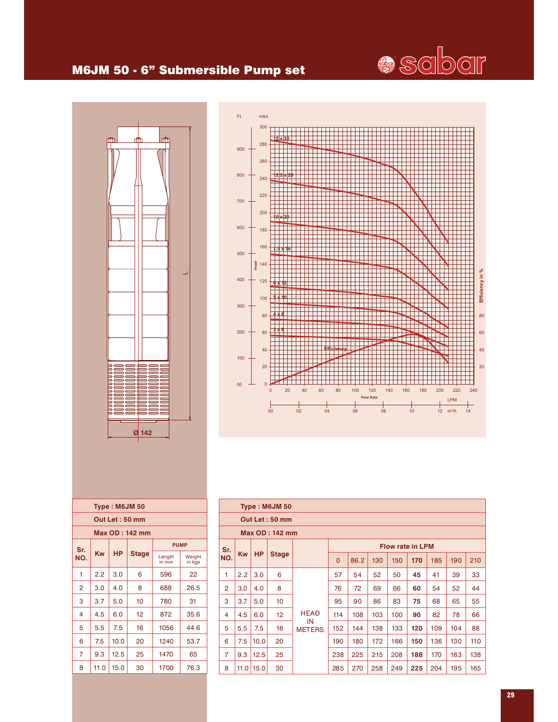

#### M6JM 50 - 6" Submersible Pump set





|                |           |           | Type: M6JM 50         |                     |          |      |     |                         |     |     |     |     |
|----------------|-----------|-----------|-----------------------|---------------------|----------|------|-----|-------------------------|-----|-----|-----|-----|
|                |           |           | Out Let: 50 mm        |                     |          |      |     |                         |     |     |     |     |
|                |           |           | <b>Max OD: 142 mm</b> |                     |          |      |     |                         |     |     |     |     |
| Sr.            |           |           |                       |                     |          |      |     | <b>Flow rate in LPM</b> |     |     |     |     |
| NO.            | <b>Kw</b> | <b>HP</b> | <b>Stage</b>          |                     | $\Omega$ | 86.2 | 130 | 150                     | 170 | 185 | 190 | 210 |
| 1              | 2.2       | 3.0       | 6                     |                     | 57       | 54   | 52  | 50                      | 45  | 41  | 39  | 33  |
| $\overline{2}$ | 3.0       | 4.0       | 8                     |                     | 76       | 72   | 69  | 66                      | 60  | 54  | 52  | 44  |
| 3              | 3.7       | 5.0       | 10                    |                     | 95       | 90   | 86  | 83                      | 75  | 68  | 65  | 55  |
| 4              | 4.5       | 6.0       | 12 <sup>2</sup>       | <b>HEAD</b>         | 114      | 108  | 103 | 100                     | 90  | 82  | 78  | 66  |
| 5              | 5.5       | 7.5       | 16                    | IN<br><b>METERS</b> | 152      | 144  | 138 | 133                     | 120 | 109 | 104 | 88  |
| 6              | 7.5       | 10.0      | 20                    |                     | 190      | 180  | 172 | 166                     | 150 | 136 | 130 | 110 |
| $\overline{7}$ | 9.3       | 12.5      | 25                    |                     | 238      | 225  | 215 | 208                     | 188 | 170 | 163 | 138 |
| 8              | 11.0      | 15.0      | 30                    |                     | 285      | 270  | 258 | 249                     | 225 | 204 | 195 | 165 |

|                 | Out Let: 50 mm |           |              |                 |                  |  |  |  |  |  |  |  |
|-----------------|----------------|-----------|--------------|-----------------|------------------|--|--|--|--|--|--|--|
| Max OD : 142 mm |                |           |              |                 |                  |  |  |  |  |  |  |  |
| Sr.             |                |           | <b>PUMP</b>  |                 |                  |  |  |  |  |  |  |  |
| NO.             | <b>Kw</b>      | <b>HP</b> | <b>Stage</b> | Length<br>in mm | Weight<br>in kgs |  |  |  |  |  |  |  |
| 1               | 2.2            | 3.0       | 6            | 596             | 22               |  |  |  |  |  |  |  |
| 2               | 3.0            | 4.0       | 8            | 688             | 26.5             |  |  |  |  |  |  |  |
| 3               | 3.7            | 5.0       | 10           | 780             | 31               |  |  |  |  |  |  |  |
| 4               | 4.5            | 6.0       | 12           | 872             | 35.6             |  |  |  |  |  |  |  |
| 5               | 5.5            | 7.5       | 16           | 1056            | 44.6             |  |  |  |  |  |  |  |
| 6               | 7.5            | 10.0      | 20           | 1240            | 53.7             |  |  |  |  |  |  |  |
| 7               | 9.3            | 12.5      | 25           | 1470            | 65               |  |  |  |  |  |  |  |
| 8               | 11.0           | 15.0      | 30           | 1700            | 76.3             |  |  |  |  |  |  |  |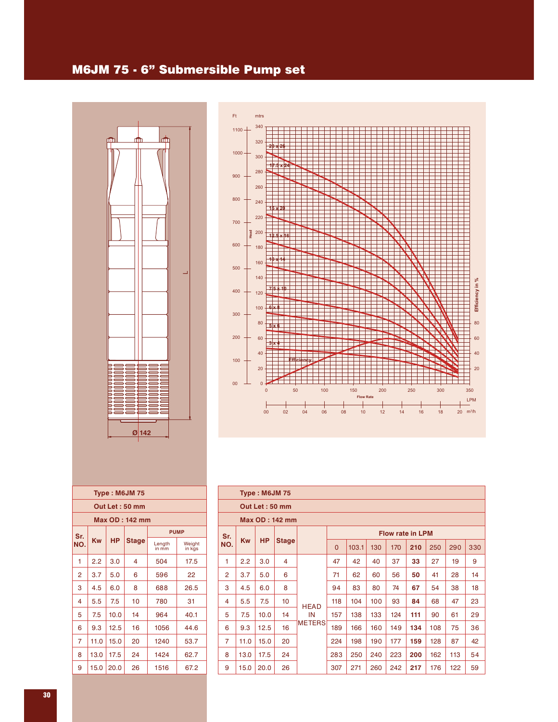#### M6JM 75 - 6" Submersible Pump set





| <b>Type: M6JM 75</b> |             |           |              |                 |                  |  |  |  |  |  |
|----------------------|-------------|-----------|--------------|-----------------|------------------|--|--|--|--|--|
| Out Let: 50 mm       |             |           |              |                 |                  |  |  |  |  |  |
| Max OD: 142 mm       |             |           |              |                 |                  |  |  |  |  |  |
| Sr.                  | <b>PUMP</b> |           |              |                 |                  |  |  |  |  |  |
| NO.                  | Kw          | <b>HP</b> | <b>Stage</b> | Length<br>in mm | Weight<br>in kgs |  |  |  |  |  |
| 1                    | 2.2         | 3.0       | 4            | 504             | 17.5             |  |  |  |  |  |
| $\overline{2}$       | 3.7         | 5.0       | 6            | 596             | 22               |  |  |  |  |  |
| 3                    | 4.5         | 6.0       | 8            | 688             | 26.5             |  |  |  |  |  |
| 4                    | 5.5         | 7.5       | 10           | 780             | 31               |  |  |  |  |  |
| 5                    | 7.5         | 10.0      | 14           | 964             | 40.1             |  |  |  |  |  |
| 6                    | 9.3         | 12.5      | 16           | 1056            | 44.6             |  |  |  |  |  |
| $\overline{7}$       | 11.0        | 15.0      | 20           | 1240            | 53.7             |  |  |  |  |  |
| 8                    | 13.0        | 17.5      | 24           | 1424            | 62.7             |  |  |  |  |  |
| 9                    | 15.0        | 20.0      | 26           | 1516            | 67.2             |  |  |  |  |  |

|                | <b>Type: M6JM 75</b> |                |                 |               |                |       |     |     |                         |     |     |     |
|----------------|----------------------|----------------|-----------------|---------------|----------------|-------|-----|-----|-------------------------|-----|-----|-----|
|                |                      | Out Let: 50 mm |                 |               |                |       |     |     |                         |     |     |     |
|                |                      |                | Max OD: 142 mm  |               |                |       |     |     |                         |     |     |     |
| Sr.            |                      |                |                 |               |                |       |     |     | <b>Flow rate in LPM</b> |     |     |     |
| NO.            | <b>Kw</b>            | <b>HP</b>      | <b>Stage</b>    |               | $\overline{0}$ | 103.1 | 130 | 170 | 210                     | 250 | 290 | 330 |
| 1              | 2.2                  | 3.0            | 4               |               | 47             | 42    | 40  | 37  | 33                      | 27  | 19  | 9   |
| $\overline{2}$ | 3.7                  | 5.0            | 6               |               | 71             | 62    | 60  | 56  | 50                      | 41  | 28  | 14  |
| 3              | 4.5                  | 6.0            | 8               |               | 94             | 83    | 80  | 74  | 67                      | 54  | 38  | 18  |
| 4              | 5.5                  | 7.5            | 10 <sup>°</sup> | <b>HEAD</b>   | 118            | 104   | 100 | 93  | 84                      | 68  | 47  | 23  |
| 5              | 7.5                  | 10.0           | 14              | IN            | 157            | 138   | 133 | 124 | 111                     | 90  | 61  | 29  |
| 6              | 9.3                  | 12.5           | 16              | <b>METERS</b> | 189            | 166   | 160 | 149 | 134                     | 108 | 75  | 36  |
| $\overline{7}$ | 11.0                 | 15.0           | 20              |               | 224            | 198   | 190 | 177 | 159                     | 128 | 87  | 42  |
| 8              | 13.0                 | 17.5           | 24              |               | 283            | 250   | 240 | 223 | 200                     | 162 | 113 | 54  |
| 9              | 15.0                 | 20.0           | 26              |               | 307            | 271   | 260 | 242 | 217                     | 176 | 122 | 59  |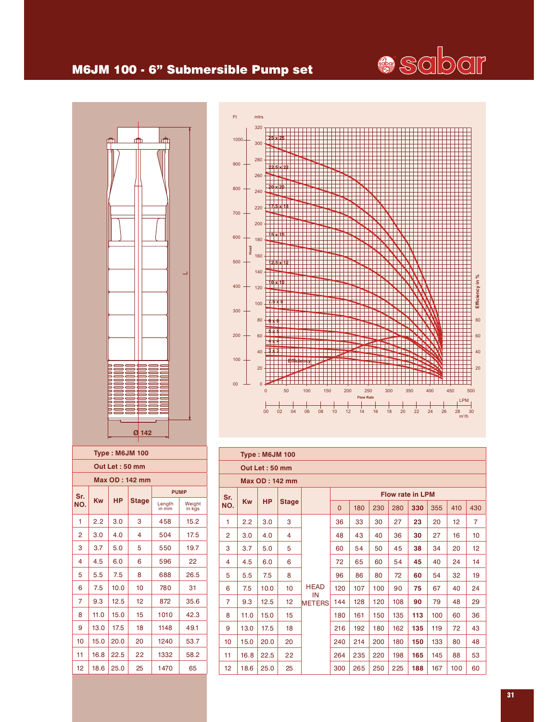# **Seber**

### M6JM 100 - 6" Submersible Pump set



| Ft       | $m$ trs        |                                                                                     |
|----------|----------------|-------------------------------------------------------------------------------------|
|          | 320            |                                                                                     |
| $1000 -$ | 300            | 2F                                                                                  |
|          |                |                                                                                     |
|          | 280            |                                                                                     |
| 900      |                | -22<br>5                                                                            |
|          | 260            |                                                                                     |
| 800      | 240            | x20<br>20                                                                           |
|          |                |                                                                                     |
|          | 220            | 5<br>18                                                                             |
| 700      |                |                                                                                     |
|          | 200            |                                                                                     |
| 600      | 180            | IV 15<br>5                                                                          |
|          | Head           |                                                                                     |
| 500      | 160            |                                                                                     |
|          | 140            | 25x12                                                                               |
|          |                |                                                                                     |
| 400      | 120            | Efficiency in %<br>1 <sub>0</sub><br>10x                                            |
|          |                |                                                                                     |
| 300      | 100            |                                                                                     |
|          | 80             | 80                                                                                  |
|          |                |                                                                                     |
| 200      | 60             | 60                                                                                  |
|          | 40             | 40                                                                                  |
| 100      |                |                                                                                     |
|          | 20             | 20                                                                                  |
|          |                |                                                                                     |
| 00       | $\overline{0}$ | $\overline{0}$<br>50<br>100<br>150<br>200<br>250<br>300<br>500<br>350<br>400<br>450 |
|          |                | <b>Flow Rate</b><br><b>LPM</b>                                                      |
|          |                | 02<br>04<br>12<br>22<br>$\overline{24}$                                             |
|          |                | 00<br>06<br>08<br>10<br>18<br>20<br>26<br>28<br>30<br>14<br>16<br>$m^3/h$           |

| <b>Type: M6JM 100</b> |                |           |              |                 |                  |  |  |  |  |  |  |  |
|-----------------------|----------------|-----------|--------------|-----------------|------------------|--|--|--|--|--|--|--|
|                       | Out Let: 50 mm |           |              |                 |                  |  |  |  |  |  |  |  |
| <b>Max OD: 142 mm</b> |                |           |              |                 |                  |  |  |  |  |  |  |  |
| Sr.                   |                |           |              | <b>PUMP</b>     |                  |  |  |  |  |  |  |  |
| NO.                   | Kw             | <b>HP</b> | <b>Stage</b> | Length<br>in mm | Weight<br>in kgs |  |  |  |  |  |  |  |
| 1                     | 2.2            | 3.0       | 3            | 458             | 15.2             |  |  |  |  |  |  |  |
| 2                     | 3.0            | 4.0       | 4            | 504             | 17.5             |  |  |  |  |  |  |  |
| 3                     | 3.7            | 5.0       | 5            | 550             | 19.7             |  |  |  |  |  |  |  |
| 4                     | 4.5            | 6.0       | 6            | 596             | 22               |  |  |  |  |  |  |  |
| 5                     | 5.5            | 7.5       | 8            | 688             | 26.5             |  |  |  |  |  |  |  |
| 6                     | 7.5            | 10.0      | 10           | 780             | 31               |  |  |  |  |  |  |  |
| 7                     | 9.3            | 12.5      | 12           | 872             | 35.6             |  |  |  |  |  |  |  |
| 8                     | 11.0           | 15.0      | 15           | 1010            | 42.3             |  |  |  |  |  |  |  |
| 9                     | 13.0           | 17.5      | 18           | 1148            | 49.1             |  |  |  |  |  |  |  |
| 10                    | 15.0           | 20.0      | 20           | 1240            | 53.7             |  |  |  |  |  |  |  |
| 11                    | 16.8           | 22.5      | 22           | 1332            | 58.2             |  |  |  |  |  |  |  |
| 12                    | 18.6           | 25.0      | 25           | 1470            | 65               |  |  |  |  |  |  |  |

|                | <b>Type: M6JM 100</b> |                |                |                     |             |                         |     |     |     |     |     |                |
|----------------|-----------------------|----------------|----------------|---------------------|-------------|-------------------------|-----|-----|-----|-----|-----|----------------|
|                |                       | Out Let: 50 mm |                |                     |             |                         |     |     |     |     |     |                |
|                |                       |                | Max OD: 142 mm |                     |             |                         |     |     |     |     |     |                |
| Sr.            |                       |                |                |                     |             | <b>Flow rate in LPM</b> |     |     |     |     |     |                |
| NO.            | <b>Kw</b>             | <b>HP</b>      | <b>Stage</b>   |                     | $\mathbf 0$ | 180                     | 230 | 280 | 330 | 355 | 410 | 430            |
| 1              | 2.2                   | 3.0            | 3              |                     | 36          | 33                      | 30  | 27  | 23  | 20  | 12  | $\overline{7}$ |
| $\overline{2}$ | 3.0                   | 4.0            | 4              |                     | 48          | 43                      | 40  | 36  | 30  | 27  | 16  | 10             |
| 3              | 3.7                   | 5.0            | 5              |                     | 60          | 54                      | 50  | 45  | 38  | 34  | 20  | 12             |
| 4              | 4.5                   | 6.0            | 6              |                     | 72          | 65                      | 60  | 54  | 45  | 40  | 24  | 14             |
| 5              | 5.5                   | 7.5            | 8              |                     | 96          | 86                      | 80  | 72  | 60  | 54  | 32  | 19             |
| 6              | 7.5                   | 10.0           | 10             | <b>HEAD</b>         | 120         | 107                     | 100 | 90  | 75  | 67  | 40  | 24             |
| $\overline{7}$ | 9.3                   | 12.5           | 12             | IN<br><b>METERS</b> | 144         | 128                     | 120 | 108 | 90  | 79  | 48  | 29             |
| 8              | 11.0                  | 15.0           | 15             |                     | 180         | 161                     | 150 | 135 | 113 | 100 | 60  | 36             |
| 9              | 13.0                  | 17.5           | 18             |                     | 216         | 192                     | 180 | 162 | 135 | 119 | 72  | 43             |
| 10             | 15.0                  | 20.0           | 20             |                     | 240         | 214                     | 200 | 180 | 150 | 133 | 80  | 48             |
| 11             | 16.8                  | 22.5           | 22             |                     | 264         | 235                     | 220 | 198 | 165 | 145 | 88  | 53             |
| 12             | 18.6                  | 25.0           | 25             |                     | 300         | 265                     | 250 | 225 | 188 | 167 | 100 | 60             |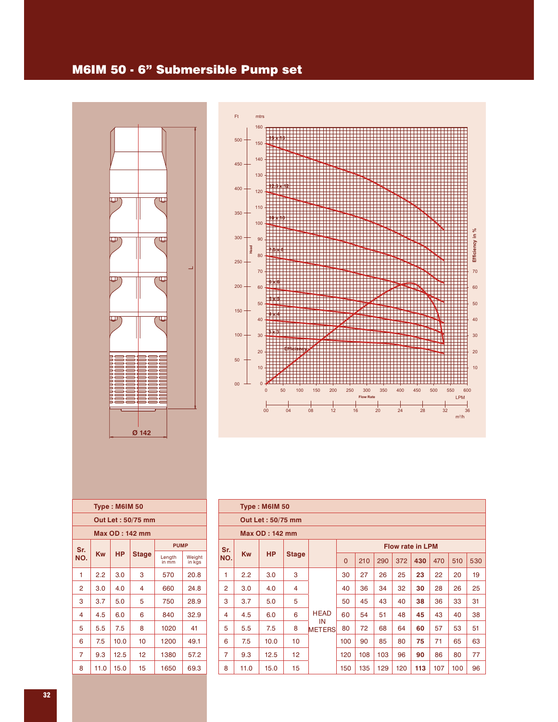#### M6IM 50 - 6" Submersible Pump set





| <b>Type: M6IM 50</b> |      |           |              |                 |                  |  |  |  |  |  |
|----------------------|------|-----------|--------------|-----------------|------------------|--|--|--|--|--|
| Out Let: 50/75 mm    |      |           |              |                 |                  |  |  |  |  |  |
| Max OD : 142 mm      |      |           |              |                 |                  |  |  |  |  |  |
| <b>PUMP</b><br>Sr.   |      |           |              |                 |                  |  |  |  |  |  |
| NO.                  | Kw   | <b>HP</b> | <b>Stage</b> | Length<br>in mm | Weight<br>in kgs |  |  |  |  |  |
| 1                    | 2.2  | 3.0       | 3            | 570             | 20.8             |  |  |  |  |  |
| 2                    | 3.0  | 4.0       | 4            | 660             | 24.8             |  |  |  |  |  |
| 3                    | 3.7  | 5.0       | 5            | 750             | 28.9             |  |  |  |  |  |
| 4                    | 4.5  | 6.0       | 6            | 840             | 32.9             |  |  |  |  |  |
| 5                    | 5.5  | 7.5       | 8            | 1020            | 41               |  |  |  |  |  |
| 6                    | 7.5  | 10.0      | 10           | 1200            | 49.1             |  |  |  |  |  |
| 7                    | 9.3  | 12.5      | 12           | 1380            | 57.2             |  |  |  |  |  |
| 8                    | 11.0 | 15.0      | 15           | 1650            | 69.3             |  |  |  |  |  |

|                | <b>Type: M6IM 50</b> |                   |              |                     |             |     |                         |     |     |     |     |     |  |
|----------------|----------------------|-------------------|--------------|---------------------|-------------|-----|-------------------------|-----|-----|-----|-----|-----|--|
|                |                      | Out Let: 50/75 mm |              |                     |             |     |                         |     |     |     |     |     |  |
|                | Max OD: 142 mm       |                   |              |                     |             |     |                         |     |     |     |     |     |  |
| Sr.            |                      |                   |              |                     |             |     | <b>Flow rate in LPM</b> |     |     |     |     |     |  |
| NO.            | <b>Kw</b>            | <b>HP</b>         | <b>Stage</b> |                     | $\mathbf 0$ | 210 | 290                     | 372 | 430 | 470 | 510 | 530 |  |
| 1              | 2.2                  | 3.0               | 3            |                     | 30          | 27  | 26                      | 25  | 23  | 22  | 20  | 19  |  |
| $\overline{2}$ | 3.0                  | 4.0               | 4            |                     | 40          | 36  | 34                      | 32  | 30  | 28  | 26  | 25  |  |
| 3              | 3.7                  | 5.0               | 5            |                     | 50          | 45  | 43                      | 40  | 38  | 36  | 33  | 31  |  |
| 4              | 4.5                  | 6.0               | 6            | <b>HEAD</b>         | 60          | 54  | 51                      | 48  | 45  | 43  | 40  | 38  |  |
| 5              | 5.5                  | 7.5               | 8            | IN<br><b>METERS</b> | 80          | 72  | 68                      | 64  | 60  | 57  | 53  | 51  |  |
| 6              | 7.5                  | 10.0              | 10           |                     | 100         | 90  | 85                      | 80  | 75  | 71  | 65  | 63  |  |
| $\overline{7}$ | 9.3                  | 12.5              | 12           |                     | 120         | 108 | 103                     | 96  | 90  | 86  | 80  | 77  |  |
| 8              | 11.0                 | 15.0              | 15           |                     | 150         | 135 | 129                     | 120 | 113 | 107 | 100 | 96  |  |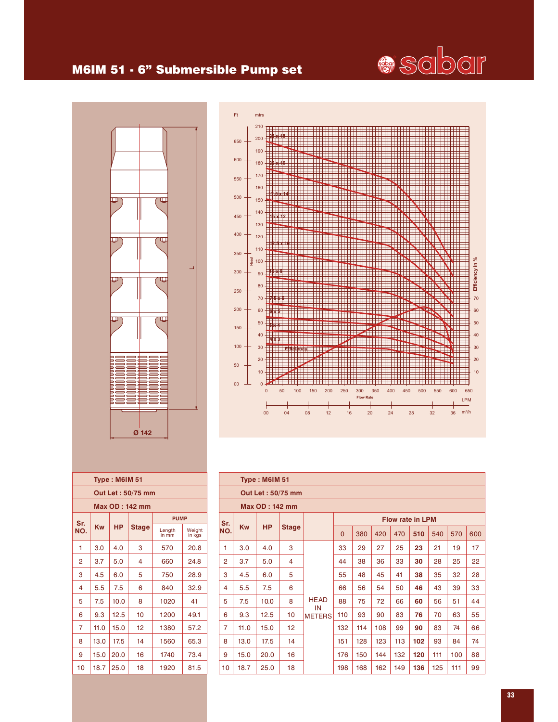## **Sciber**

#### M6IM 51 - 6" Submersible Pump set





|                                          |           | <b>Type: M6IM 51</b> |                   |                 |                  |  |  |  |  |  |  |
|------------------------------------------|-----------|----------------------|-------------------|-----------------|------------------|--|--|--|--|--|--|
|                                          |           |                      | Out Let: 50/75 mm |                 |                  |  |  |  |  |  |  |
| <b>Max OD: 142 mm</b>                    |           |                      |                   |                 |                  |  |  |  |  |  |  |
| <b>PUMP</b><br>Sr.                       |           |                      |                   |                 |                  |  |  |  |  |  |  |
| NO.                                      | <b>Kw</b> | <b>HP</b>            | <b>Stage</b>      | Length<br>in mm | Weight<br>in kgs |  |  |  |  |  |  |
| 1                                        | 3.0       | 4.0                  | 3                 | 570             | 20.8             |  |  |  |  |  |  |
| 2                                        | 3.7       | 5.0                  | 4                 | 660             | 24.8             |  |  |  |  |  |  |
| 3                                        | 4.5       | 6.0                  | 5                 | 750             | 28.9             |  |  |  |  |  |  |
| 4                                        | 5.5       | 7.5                  | 6                 | 840             | 32.9             |  |  |  |  |  |  |
| 5                                        | 7.5       | 10.0                 | 8                 | 1020            | 41               |  |  |  |  |  |  |
| 6                                        | 9.3       | 12.5                 | 10                | 1200            | 49.1             |  |  |  |  |  |  |
| 7                                        | 11.0      | 15.0                 | 12                | 1380            | 57.2             |  |  |  |  |  |  |
| 8                                        | 13.0      | 17.5                 | 14                | 1560            | 65.3             |  |  |  |  |  |  |
| 9                                        | 15.0      | 20.0                 | 16                | 1740            | 73.4             |  |  |  |  |  |  |
| 18.7<br>10<br>25.0<br>18<br>1920<br>81.5 |           |                      |                   |                 |                  |  |  |  |  |  |  |

|                |           | <b>Type: M6IM 51</b>  |                   |                     |                         |     |     |     |     |     |     |     |  |
|----------------|-----------|-----------------------|-------------------|---------------------|-------------------------|-----|-----|-----|-----|-----|-----|-----|--|
|                |           |                       | Out Let: 50/75 mm |                     |                         |     |     |     |     |     |     |     |  |
|                |           | <b>Max OD: 142 mm</b> |                   |                     |                         |     |     |     |     |     |     |     |  |
| Sr.            |           |                       |                   |                     | <b>Flow rate in LPM</b> |     |     |     |     |     |     |     |  |
| NO.            | <b>Kw</b> | <b>HP</b>             | <b>Stage</b>      |                     | $\mathbf 0$             | 380 | 420 | 470 | 510 | 540 | 570 | 600 |  |
| 1              | 3.0       | 4.0                   | 3                 |                     | 33                      | 29  | 27  | 25  | 23  | 21  | 19  | 17  |  |
| $\overline{2}$ | 3.7       | 5.0                   | 4                 |                     | 44                      | 38  | 36  | 33  | 30  | 28  | 25  | 22  |  |
| 3              | 4.5       | 6.0                   | 5                 |                     | 55                      | 48  | 45  | 41  | 38  | 35  | 32  | 28  |  |
| 4              | 5.5       | 7.5                   | 6                 |                     | 66                      | 56  | 54  | 50  | 46  | 43  | 39  | 33  |  |
| 5              | 7.5       | 10.0                  | 8                 | <b>HEAD</b>         | 88                      | 75  | 72  | 66  | 60  | 56  | 51  | 44  |  |
| 6              | 9.3       | 12.5                  | 10                | IN<br><b>METERS</b> | 110                     | 93  | 90  | 83  | 76  | 70  | 63  | 55  |  |
| 7              | 11.0      | 15.0                  | 12                |                     | 132                     | 114 | 108 | 99  | 90  | 83  | 74  | 66  |  |
| 8              | 13.0      | 17.5                  | 14                |                     | 151                     | 128 | 123 | 113 | 102 | 93  | 84  | 74  |  |
| 9              | 15.0      | 20.0                  | 16                |                     | 176                     | 150 | 144 | 132 | 120 | 111 | 100 | 88  |  |
| 10             | 18.7      | 25.0                  | 18                |                     | 198                     | 168 | 162 | 149 | 136 | 125 | 111 | 99  |  |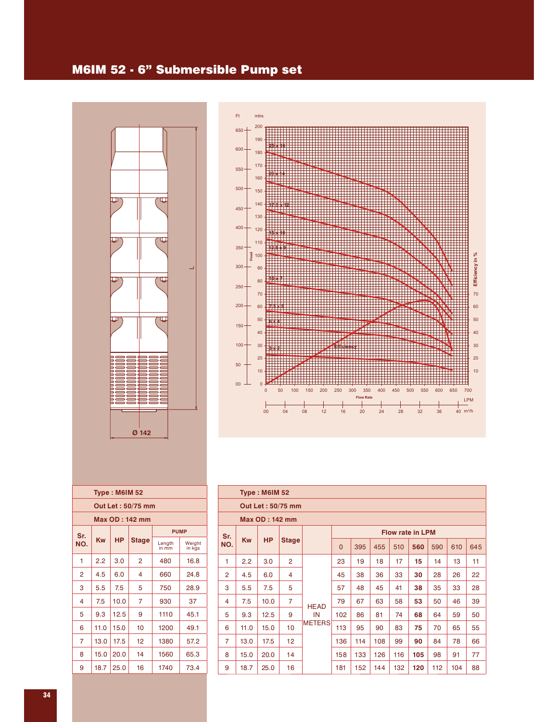#### M6IM 52 - 6" Submersible Pump set





|                       |      | <b>Type: M6IM 52</b> |              |                 |                  |  |  |  |  |  |  |
|-----------------------|------|----------------------|--------------|-----------------|------------------|--|--|--|--|--|--|
| Out Let: 50/75 mm     |      |                      |              |                 |                  |  |  |  |  |  |  |
| <b>Max OD: 142 mm</b> |      |                      |              |                 |                  |  |  |  |  |  |  |
| <b>PUMP</b><br>Sr.    |      |                      |              |                 |                  |  |  |  |  |  |  |
| NO.                   | Kw   | <b>HP</b>            | <b>Stage</b> | Length<br>in mm | Weight<br>in kgs |  |  |  |  |  |  |
| 1                     | 2.2  | 3.0                  | 2            | 480             | 16.8             |  |  |  |  |  |  |
| 2                     | 4.5  | 6.0                  | 4            | 660             | 24.8             |  |  |  |  |  |  |
| 3                     | 5.5  | 7.5                  | 5            | 750             | 28.9             |  |  |  |  |  |  |
| 4                     | 7.5  | 10.0                 | 7            | 930             | 37               |  |  |  |  |  |  |
| 5                     | 9.3  | 12.5                 | 9            | 1110            | 45.1             |  |  |  |  |  |  |
| 6                     | 11.0 | 15.0                 | 10           | 1200            | 49.1             |  |  |  |  |  |  |
| 7                     | 13.0 | 17.5                 | 12           | 1380            | 57.2             |  |  |  |  |  |  |
| 8                     | 15.0 | 20.0                 | 14           | 1560            | 65.3             |  |  |  |  |  |  |
| 9                     | 18.7 | 25.0                 | 16           | 1740            | 73.4             |  |  |  |  |  |  |
|                       |      |                      |              |                 |                  |  |  |  |  |  |  |

|                | <b>Type: M6IM 52</b> |                       |                   |               |                         |     |     |     |     |     |     |     |  |  |
|----------------|----------------------|-----------------------|-------------------|---------------|-------------------------|-----|-----|-----|-----|-----|-----|-----|--|--|
|                |                      |                       | Out Let: 50/75 mm |               |                         |     |     |     |     |     |     |     |  |  |
|                |                      | <b>Max OD: 142 mm</b> |                   |               |                         |     |     |     |     |     |     |     |  |  |
| Sr.            |                      |                       |                   |               | <b>Flow rate in LPM</b> |     |     |     |     |     |     |     |  |  |
| NO.            | <b>Kw</b>            | <b>HP</b>             | <b>Stage</b>      |               | $\overline{0}$          | 395 | 455 | 510 | 560 | 590 | 610 | 645 |  |  |
| 1              | 2.2                  | 3.0                   | $\overline{2}$    |               | 23                      | 19  | 18  | 17  | 15  | 14  | 13  | 11  |  |  |
| $\overline{2}$ | 4.5                  | 6.0                   | 4                 |               | 45                      | 38  | 36  | 33  | 30  | 28  | 26  | 22  |  |  |
| 3              | 5.5                  | 7.5                   | 5                 |               | 57                      | 48  | 45  | 41  | 38  | 35  | 33  | 28  |  |  |
| 4              | 7.5                  | 10.0                  | $\overline{7}$    | <b>HEAD</b>   | 79                      | 67  | 63  | 58  | 53  | 50  | 46  | 39  |  |  |
| 5              | 9.3                  | 12.5                  | 9                 | IN            | 102                     | 86  | 81  | 74  | 68  | 64  | 59  | 50  |  |  |
| 6              | 11.0                 | 15.0                  | 10                | <b>METERS</b> | 113                     | 95  | 90  | 83  | 75  | 70  | 65  | 55  |  |  |
| $\overline{7}$ | 13.0                 | 17.5                  | 12 <sup>°</sup>   |               | 136                     | 114 | 108 | 99  | 90  | 84  | 78  | 66  |  |  |
| 8              | 15.0                 | 20.0                  | 14                |               | 158                     | 133 | 126 | 116 | 105 | 98  | 91  | 77  |  |  |
| 9              | 18.7                 | 25.0                  | 16                |               | 181                     | 152 | 144 | 132 | 120 | 112 | 104 | 88  |  |  |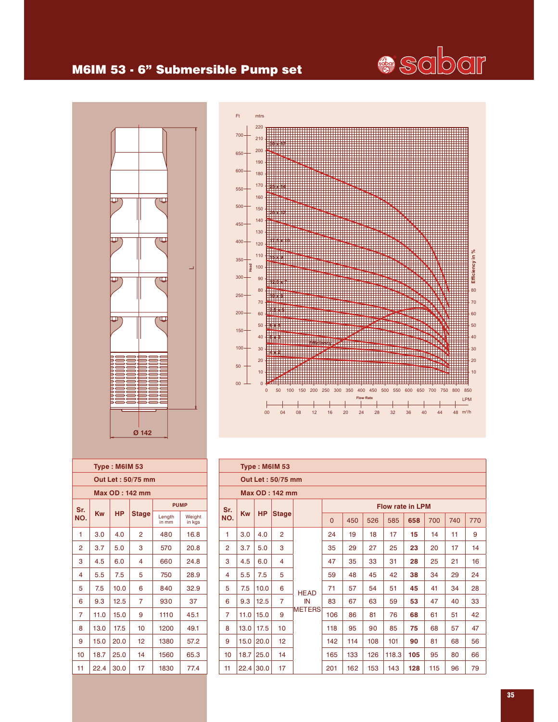

#### M6IM 53 - 6" Submersible Pump set





|                       |      | <b>Type: M6IM 53</b> |                   |                 |                  |  |  |  |  |  |  |
|-----------------------|------|----------------------|-------------------|-----------------|------------------|--|--|--|--|--|--|
|                       |      |                      | Out Let: 50/75 mm |                 |                  |  |  |  |  |  |  |
| <b>Max OD: 142 mm</b> |      |                      |                   |                 |                  |  |  |  |  |  |  |
| <b>PUMP</b><br>Sr.    |      |                      |                   |                 |                  |  |  |  |  |  |  |
| NO.                   | Kw   | <b>HP</b>            | <b>Stage</b>      | Length<br>in mm | Weight<br>in kgs |  |  |  |  |  |  |
| 1                     | 3.0  | 4.0                  | $\overline{2}$    | 480             | 16.8             |  |  |  |  |  |  |
| 2                     | 3.7  | 5.0                  | 3                 | 570             | 20.8             |  |  |  |  |  |  |
| 3                     | 4.5  | 6.0                  | 4                 | 660             | 24.8             |  |  |  |  |  |  |
| 4                     | 5.5  | 7.5                  | 5                 | 750             | 28.9             |  |  |  |  |  |  |
| 5                     | 7.5  | 10.0                 | 6                 | 840             | 32.9             |  |  |  |  |  |  |
| 6                     | 9.3  | 12.5                 | 7                 | 930             | 37               |  |  |  |  |  |  |
| 7                     | 11.0 | 15.0                 | 9                 | 1110            | 45.1             |  |  |  |  |  |  |
| 8                     | 13.0 | 17.5                 | 10                | 1200            | 49.1             |  |  |  |  |  |  |
| 9                     | 15.0 | 20.0                 | 12                | 1380            | 57.2             |  |  |  |  |  |  |
| 10                    | 18.7 | 25.0                 | 14                | 1560            | 65.3             |  |  |  |  |  |  |
| 11                    | 22.4 | 30.0                 | 17                | 1830            | 77.4             |  |  |  |  |  |  |
|                       |      |                      |                   |                 |                  |  |  |  |  |  |  |

|                | <b>Type: M6IM 53</b> |           |                   |               |                                                 |     |     |                         |     |     |    |    |  |
|----------------|----------------------|-----------|-------------------|---------------|-------------------------------------------------|-----|-----|-------------------------|-----|-----|----|----|--|
|                |                      |           | Out Let: 50/75 mm |               |                                                 |     |     |                         |     |     |    |    |  |
|                |                      |           | Max OD: 142 mm    |               |                                                 |     |     |                         |     |     |    |    |  |
| Sr.            |                      |           |                   |               |                                                 |     |     | <b>Flow rate in LPM</b> |     |     |    |    |  |
| NO.            | <b>Kw</b>            | <b>HP</b> | <b>Stage</b>      |               | 450<br>526<br>585<br>700<br>$\mathbf{0}$<br>658 |     |     |                         |     |     |    |    |  |
| 1              | 3.0                  | 4.0       | $\overline{2}$    |               | 24                                              | 19  | 18  | 17                      | 15  | 14  | 11 | 9  |  |
| $\overline{2}$ | 3.7                  | 5.0       | 3                 |               | 35                                              | 29  | 27  | 25                      | 23  | 20  | 17 | 14 |  |
| 3              | 4.5                  | 6.0       | 4                 |               | 47                                              | 35  | 33  | 31                      | 28  | 25  | 21 | 16 |  |
| 4              | 5.5                  | 7.5       | 5                 |               | 59                                              | 48  | 45  | 42                      | 38  | 34  | 29 | 24 |  |
| 5              | 7.5                  | 10.0      | 6                 | <b>HEAD</b>   | 71                                              | 57  | 54  | 51                      | 45  | 41  | 34 | 28 |  |
| 6              | 9.3                  | 12.5      | $\overline{7}$    | IN            | 83                                              | 67  | 63  | 59                      | 53  | 47  | 40 | 33 |  |
| $\overline{7}$ | 11.0                 | 15.0      | 9                 | <b>METERS</b> | 106                                             | 86  | 81  | 76                      | 68  | 61  | 51 | 42 |  |
| 8              | 13.0                 | 17.5      | 10                |               | 118                                             | 95  | 90  | 85                      | 75  | 68  | 57 | 47 |  |
| 9              | 15.0                 | 20.0      | 12 <sup>°</sup>   |               | 142                                             | 114 | 108 | 101                     | 90  | 81  | 68 | 56 |  |
| 10             | 18.7                 | 25.0      | 14                |               | 165                                             | 133 | 126 | 118.3                   | 105 | 95  | 80 | 66 |  |
| 11             | 22.4                 | 30.0      | 17                |               | 201                                             | 162 | 153 | 143                     | 128 | 115 | 96 | 79 |  |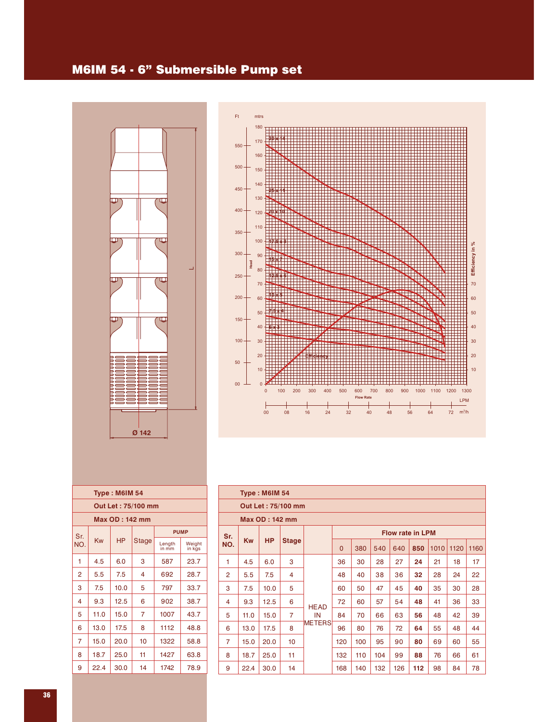#### M6IM 54 - 6" Submersible Pump set





|                       |                    | <b>Type: M6IM 54</b> |              |                 |                  |  |  |  |  |  |  |  |  |
|-----------------------|--------------------|----------------------|--------------|-----------------|------------------|--|--|--|--|--|--|--|--|
|                       | Out Let: 75/100 mm |                      |              |                 |                  |  |  |  |  |  |  |  |  |
| <b>Max OD: 142 mm</b> |                    |                      |              |                 |                  |  |  |  |  |  |  |  |  |
| <b>PUMP</b><br>Sr.    |                    |                      |              |                 |                  |  |  |  |  |  |  |  |  |
| NO.                   | Kw                 | <b>HP</b>            | <b>Stage</b> | Length<br>in mm | Weight<br>in kgs |  |  |  |  |  |  |  |  |
| 1                     | 4.5                | 6.0                  | 3            | 587             | 23.7             |  |  |  |  |  |  |  |  |
| $\overline{2}$        | 5.5                | 7.5                  | 4            | 692             | 28.7             |  |  |  |  |  |  |  |  |
| 3                     | 7.5                | 10.0                 | 5            | 797             | 33.7             |  |  |  |  |  |  |  |  |
| $\overline{4}$        | 9.3                | 12.5                 | 6            | 902             | 38.7             |  |  |  |  |  |  |  |  |
| 5                     | 11.0               | 15.0                 | 7            | 1007            | 43.7             |  |  |  |  |  |  |  |  |
| 6                     | 13.0               | 17.5                 | 8            | 1112            | 48.8             |  |  |  |  |  |  |  |  |
| 7                     | 15.0               | 20.0                 | 10           | 1322            | 58.8             |  |  |  |  |  |  |  |  |
| 8                     | 18.7               | 25.0                 | 11           | 1427            | 63.8             |  |  |  |  |  |  |  |  |
| 9                     | 22.4               | 30.0                 | 14           | 1742            | 78.9             |  |  |  |  |  |  |  |  |

|                | <b>Type: M6IM 54</b> |                       |                    |             |                         |     |     |     |     |      |      |      |  |  |
|----------------|----------------------|-----------------------|--------------------|-------------|-------------------------|-----|-----|-----|-----|------|------|------|--|--|
|                |                      |                       | Out Let: 75/100 mm |             |                         |     |     |     |     |      |      |      |  |  |
|                |                      | <b>Max OD: 142 mm</b> |                    |             |                         |     |     |     |     |      |      |      |  |  |
| Sr.            |                      |                       |                    |             | <b>Flow rate in LPM</b> |     |     |     |     |      |      |      |  |  |
| NO.            | <b>Kw</b>            | <b>HP</b>             | <b>Stage</b>       |             | $\mathbf 0$             | 380 | 540 | 640 | 850 | 1010 | 1120 | 1160 |  |  |
| 1              | 4.5                  | 6.0                   | 3                  |             | 36                      | 30  | 28  | 27  | 24  | 21   | 18   | 17   |  |  |
| $\overline{2}$ | 5.5                  | 7.5                   | 4                  |             | 48                      | 40  | 38  | 36  | 32  | 28   | 24   | 22   |  |  |
| 3              | 7.5                  | 10.0                  | 5                  |             | 60                      | 50  | 47  | 45  | 40  | 35   | 30   | 28   |  |  |
| 4              | 9.3                  | 12.5                  | 6                  | <b>HEAD</b> | 72                      | 60  | 57  | 54  | 48  | 41   | 36   | 33   |  |  |
| 5              | 11.0                 | 15.0                  | 7                  | IN          | 84                      | 70  | 66  | 63  | 56  | 48   | 42   | 39   |  |  |
| 6              | 13.0                 | 17.5                  | 8                  | METERS      | 96                      | 80  | 76  | 72  | 64  | 55   | 48   | 44   |  |  |
| 7              | 15.0                 | 20.0                  | 10                 |             | 120                     | 100 | 95  | 90  | 80  | 69   | 60   | 55   |  |  |
| 8              | 18.7                 | 25.0                  | 11                 |             | 132                     | 110 | 104 | 99  | 88  | 76   | 66   | 61   |  |  |
| 9              | 22.4                 | 30.0                  | 14                 |             | 168                     | 140 | 132 | 126 | 112 | 98   | 84   | 78   |  |  |